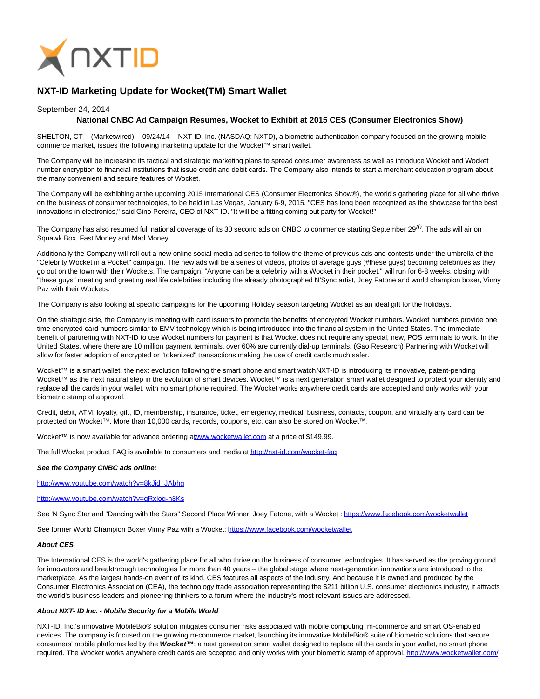

# **NXT-ID Marketing Update for Wocket(TM) Smart Wallet**

## September 24, 2014

## **National CNBC Ad Campaign Resumes, Wocket to Exhibit at 2015 CES (Consumer Electronics Show)**

SHELTON, CT -- (Marketwired) -- 09/24/14 -- NXT-ID, Inc. (NASDAQ: NXTD), a biometric authentication company focused on the growing mobile commerce market, issues the following marketing update for the Wocket™ smart wallet.

The Company will be increasing its tactical and strategic marketing plans to spread consumer awareness as well as introduce Wocket and Wocket number encryption to financial institutions that issue credit and debit cards. The Company also intends to start a merchant education program about the many convenient and secure features of Wocket.

The Company will be exhibiting at the upcoming 2015 International CES (Consumer Electronics Show®), the world's gathering place for all who thrive on the business of consumer technologies, to be held in Las Vegas, January 6-9, 2015. "CES has long been recognized as the showcase for the best innovations in electronics," said Gino Pereira, CEO of NXT-ID. "It will be a fitting coming out party for Wocket!"

The Company has also resumed full national coverage of its 30 second ads on CNBC to commence starting September  $29^{th}$ . The ads will air on Squawk Box, Fast Money and Mad Money.

Additionally the Company will roll out a new online social media ad series to follow the theme of previous ads and contests under the umbrella of the "Celebrity Wocket in a Pocket" campaign. The new ads will be a series of videos, photos of average guys (#these guys) becoming celebrities as they go out on the town with their Wockets. The campaign, "Anyone can be a celebrity with a Wocket in their pocket," will run for 6-8 weeks, closing with "these guys" meeting and greeting real life celebrities including the already photographed N'Sync artist, Joey Fatone and world champion boxer, Vinny Paz with their Wockets.

The Company is also looking at specific campaigns for the upcoming Holiday season targeting Wocket as an ideal gift for the holidays.

On the strategic side, the Company is meeting with card issuers to promote the benefits of encrypted Wocket numbers. Wocket numbers provide one time encrypted card numbers similar to EMV technology which is being introduced into the financial system in the United States. The immediate benefit of partnering with NXT-ID to use Wocket numbers for payment is that Wocket does not require any special, new, POS terminals to work. In the United States, where there are 10 million payment terminals, over 60% are currently dial-up terminals. (Gao Research) Partnering with Wocket will allow for faster adoption of encrypted or "tokenized" transactions making the use of credit cards much safer.

Wocket™ is a smart wallet, the next evolution following the smart phone and smart watchNXT-ID is introducing its innovative, patent-pending Wocket™ as the next natural step in the evolution of smart devices. Wocket™ is a next generation smart wallet designed to protect your identity and replace all the cards in your wallet, with no smart phone required. The Wocket works anywhere credit cards are accepted and only works with your biometric stamp of approval.

Credit, debit, ATM, loyalty, gift, ID, membership, insurance, ticket, emergency, medical, business, contacts, coupon, and virtually any card can be protected on Wocket™. More than 10,000 cards, records, coupons, etc. can also be stored on Wocket™.

Wocket™ is now available for advance ordering [at www.wocketwallet.com a](http://ctt.marketwire.com/?release=1146931&id=4693114&type=1&url=http%3a%2f%2fwww.wocketwallet.com%2f)t a price of \$149.99.

The full Wocket product FAQ is available to consumers and media a[t http://nxt-id.com/wocket-faq](http://ctt.marketwire.com/?release=1146931&id=4693117&type=1&url=http%3a%2f%2fnxt-id.com%2fwocket-faq)

#### **See the Company CNBC ads online:**

[http://www.youtube.com/watch?v=8kJid\\_JAbhg](http://ctt.marketwire.com/?release=1146931&id=4693120&type=1&url=http%3a%2f%2fwww.youtube.com%2fwatch%3fv%3d8kJid_JAbhg)

### [http://www.youtube.com/watch?v=qRxloq-n8Ks](http://ctt.marketwire.com/?release=1146931&id=4693123&type=1&url=http%3a%2f%2fwww.youtube.com%2fwatch%3fv%3dqRxloq-n8Ks)

See 'N Sync Star and "Dancing with the Stars" Second Place Winner, Joey Fatone, with a Wocket [: https://www.facebook.com/wocketwallet](http://ctt.marketwire.com/?release=1146931&id=4693126&type=1&url=https%3a%2f%2fwww.facebook.com%2fwocketwallet)

See former World Champion Boxer Vinny Paz with a Wocket: [https://www.facebook.com/wocketwallet](http://ctt.marketwire.com/?release=1146931&id=4693129&type=1&url=https%3a%2f%2fwww.facebook.com%2fwocketwallet)

#### **About CES**

The International CES is the world's gathering place for all who thrive on the business of consumer technologies. It has served as the proving ground for innovators and breakthrough technologies for more than 40 years -- the global stage where next-generation innovations are introduced to the marketplace. As the largest hands-on event of its kind, CES features all aspects of the industry. And because it is owned and produced by the Consumer Electronics Association (CEA), the technology trade association representing the \$211 billion U.S. consumer electronics industry, it attracts the world's business leaders and pioneering thinkers to a forum where the industry's most relevant issues are addressed.

## **About NXT- ID Inc. - Mobile Security for a Mobile World**

NXT-ID, Inc.'s innovative MobileBio® solution mitigates consumer risks associated with mobile computing, m-commerce and smart OS-enabled devices. The company is focused on the growing m-commerce market, launching its innovative MobileBio® suite of biometric solutions that secure consumers' mobile platforms led by the Wocket™; a next generation smart wallet designed to replace all the cards in your wallet, no smart phone required. The Wocket works anywhere credit cards are accepted and only works with your biometric stamp of approval[. http://www.wocketwallet.com/](http://ctt.marketwire.com/?release=1146931&id=4693132&type=1&url=http%3a%2f%2fwww.wocketwallet.com%2f)